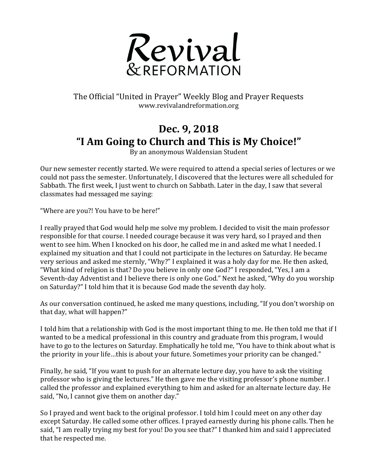

## The Official "United in Prayer" Weekly Blog and Prayer Requests www.revivalandreformation.org

## **Dec. 9, 2018 "I Am Going to Church and This is My Choice!"**

By an anonymous Waldensian Student

Our new semester recently started. We were required to attend a special series of lectures or we could not pass the semester. Unfortunately, I discovered that the lectures were all scheduled for Sabbath. The first week, I just went to church on Sabbath. Later in the day, I saw that several classmates had messaged me saying:

"Where are you?! You have to be here!"

I really prayed that God would help me solve my problem. I decided to visit the main professor responsible for that course. I needed courage because it was very hard, so I prayed and then went to see him. When I knocked on his door, he called me in and asked me what I needed. I explained my situation and that I could not participate in the lectures on Saturday. He became very serious and asked me sternly, "Why?" I explained it was a holy day for me. He then asked, "What kind of religion is that? Do you believe in only one God?" I responded, "Yes, I am a Seventh-day Adventist and I believe there is only one God." Next he asked, "Why do you worship on Saturday?" I told him that it is because God made the seventh day holy.

As our conversation continued, he asked me many questions, including, "If you don't worship on that day, what will happen?"

I told him that a relationship with God is the most important thing to me. He then told me that if I wanted to be a medical professional in this country and graduate from this program, I would have to go to the lectures on Saturday. Emphatically he told me, "You have to think about what is the priority in your life...this is about your future. Sometimes your priority can be changed."

Finally, he said, "If you want to push for an alternate lecture day, you have to ask the visiting professor who is giving the lectures." He then gave me the visiting professor's phone number. I called the professor and explained everything to him and asked for an alternate lecture day. He said, "No, I cannot give them on another day."

So I prayed and went back to the original professor. I told him I could meet on any other day except Saturday. He called some other offices. I prayed earnestly during his phone calls. Then he said, "I am really trying my best for you! Do you see that?" I thanked him and said I appreciated that he respected me.